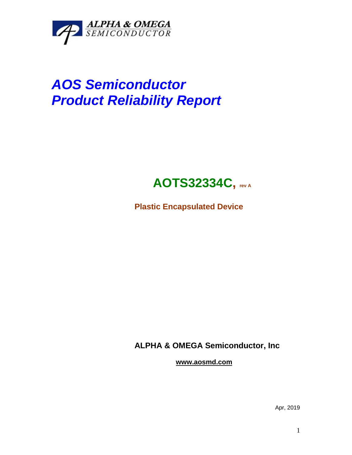

# *AOS Semiconductor Product Reliability Report*

## **AOTS32334C, rev <sup>A</sup>**

**Plastic Encapsulated Device**

**ALPHA & OMEGA Semiconductor, Inc**

**www.aosmd.com**

Apr, 2019